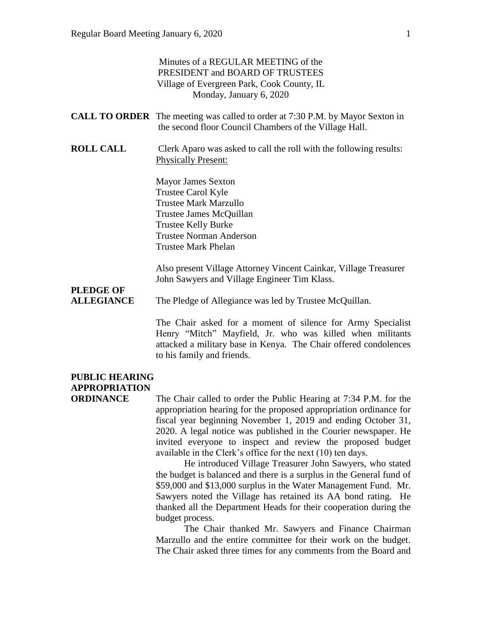|                                               | Minutes of a REGULAR MEETING of the<br>PRESIDENT and BOARD OF TRUSTEES<br>Village of Evergreen Park, Cook County, IL<br>Monday, January 6, 2020                                                                                                                                                                                                                                                          |
|-----------------------------------------------|----------------------------------------------------------------------------------------------------------------------------------------------------------------------------------------------------------------------------------------------------------------------------------------------------------------------------------------------------------------------------------------------------------|
|                                               | <b>CALL TO ORDER</b> The meeting was called to order at 7:30 P.M. by Mayor Sexton in<br>the second floor Council Chambers of the Village Hall.                                                                                                                                                                                                                                                           |
| <b>ROLL CALL</b>                              | Clerk Aparo was asked to call the roll with the following results:<br><b>Physically Present:</b>                                                                                                                                                                                                                                                                                                         |
|                                               | <b>Mayor James Sexton</b><br>Trustee Carol Kyle<br><b>Trustee Mark Marzullo</b><br>Trustee James McQuillan<br><b>Trustee Kelly Burke</b><br><b>Trustee Norman Anderson</b><br><b>Trustee Mark Phelan</b>                                                                                                                                                                                                 |
| <b>PLEDGE OF</b>                              | Also present Village Attorney Vincent Cainkar, Village Treasurer<br>John Sawyers and Village Engineer Tim Klass.                                                                                                                                                                                                                                                                                         |
| <b>ALLEGIANCE</b>                             | The Pledge of Allegiance was led by Trustee McQuillan.                                                                                                                                                                                                                                                                                                                                                   |
|                                               | The Chair asked for a moment of silence for Army Specialist<br>Henry "Mitch" Mayfield, Jr. who was killed when militants<br>attacked a military base in Kenya. The Chair offered condolences<br>to his family and friends.                                                                                                                                                                               |
| <b>PUBLIC HEARING</b><br><b>APPROPRIATION</b> |                                                                                                                                                                                                                                                                                                                                                                                                          |
| <b>ORDINANCE</b>                              | The Chair called to order the Public Hearing at 7:34 P.M. for the<br>appropriation hearing for the proposed appropriation ordinance for<br>fiscal year beginning November 1, 2019 and ending October 31,<br>2020. A legal notice was published in the Courier newspaper. He<br>invited everyone to inspect and review the proposed budget<br>available in the Clerk's office for the next (10) ten days. |

He introduced Village Treasurer John Sawyers, who stated the budget is balanced and there is a surplus in the General fund of \$59,000 and \$13,000 surplus in the Water Management Fund. Mr. Sawyers noted the Village has retained its AA bond rating. He thanked all the Department Heads for their cooperation during the budget process.

The Chair thanked Mr. Sawyers and Finance Chairman Marzullo and the entire committee for their work on the budget. The Chair asked three times for any comments from the Board and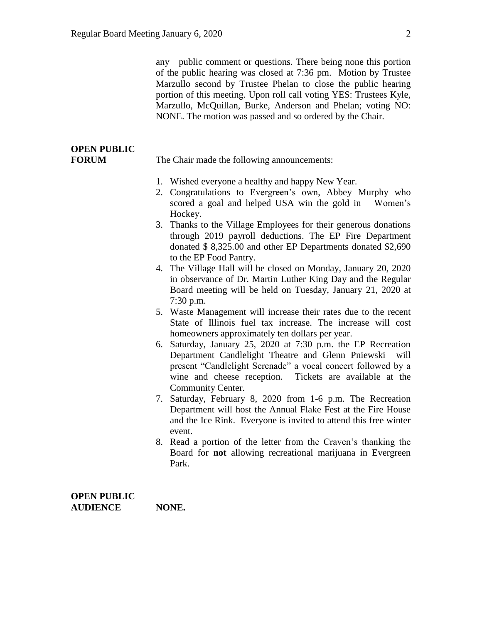any public comment or questions. There being none this portion of the public hearing was closed at 7:36 pm. Motion by Trustee Marzullo second by Trustee Phelan to close the public hearing portion of this meeting. Upon roll call voting YES: Trustees Kyle, Marzullo, McQuillan, Burke, Anderson and Phelan; voting NO: NONE. The motion was passed and so ordered by the Chair.

# **OPEN PUBLIC**

**FORUM** The Chair made the following announcements:

- 1. Wished everyone a healthy and happy New Year.
- 2. Congratulations to Evergreen's own, Abbey Murphy who scored a goal and helped USA win the gold in Women's Hockey.
- 3. Thanks to the Village Employees for their generous donations through 2019 payroll deductions. The EP Fire Department donated \$ 8,325.00 and other EP Departments donated \$2,690 to the EP Food Pantry.
- 4. The Village Hall will be closed on Monday, January 20, 2020 in observance of Dr. Martin Luther King Day and the Regular Board meeting will be held on Tuesday, January 21, 2020 at 7:30 p.m.
- 5. Waste Management will increase their rates due to the recent State of Illinois fuel tax increase. The increase will cost homeowners approximately ten dollars per year.
- 6. Saturday, January 25, 2020 at 7:30 p.m. the EP Recreation Department Candlelight Theatre and Glenn Pniewski will present "Candlelight Serenade" a vocal concert followed by a wine and cheese reception. Tickets are available at the Community Center.
- 7. Saturday, February 8, 2020 from 1-6 p.m. The Recreation Department will host the Annual Flake Fest at the Fire House and the Ice Rink. Everyone is invited to attend this free winter event.
- 8. Read a portion of the letter from the Craven's thanking the Board for **not** allowing recreational marijuana in Evergreen Park.

**OPEN PUBLIC AUDIENCE NONE.**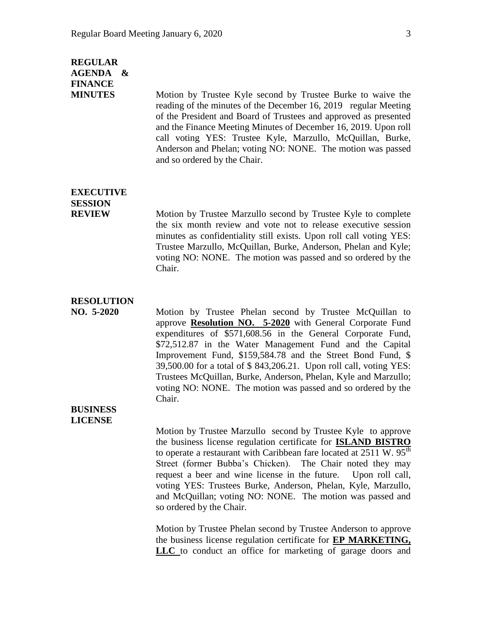### **REGULAR AGENDA & FINANCE**

**MINUTES** Motion by Trustee Kyle second by Trustee Burke to waive the reading of the minutes of the December 16, 2019 regular Meeting of the President and Board of Trustees and approved as presented and the Finance Meeting Minutes of December 16, 2019. Upon roll call voting YES: Trustee Kyle, Marzullo, McQuillan, Burke, Anderson and Phelan; voting NO: NONE. The motion was passed and so ordered by the Chair.

## **EXECUTIVE SESSION**

**REVIEW** Motion by Trustee Marzullo second by Trustee Kyle to complete the six month review and vote not to release executive session minutes as confidentiality still exists. Upon roll call voting YES: Trustee Marzullo, McQuillan, Burke, Anderson, Phelan and Kyle; voting NO: NONE. The motion was passed and so ordered by the Chair.

#### **RESOLUTION**

**NO. 5-2020** Motion by Trustee Phelan second by Trustee McQuillan to approve **Resolution NO. 5-2020** with General Corporate Fund expenditures of \$571,608.56 in the General Corporate Fund, \$72,512.87 in the Water Management Fund and the Capital Improvement Fund, \$159,584.78 and the Street Bond Fund, \$ 39,500.00 for a total of \$ 843,206.21. Upon roll call, voting YES: Trustees McQuillan, Burke, Anderson, Phelan, Kyle and Marzullo; voting NO: NONE. The motion was passed and so ordered by the Chair.

#### **BUSINESS LICENSE**

Motion by Trustee Marzullo second by Trustee Kyle to approve the business license regulation certificate for **ISLAND BISTRO**  to operate a restaurant with Caribbean fare located at  $2511 \text{ W}$ .  $95^{\text{th}}$ Street (former Bubba's Chicken). The Chair noted they may request a beer and wine license in the future. Upon roll call, voting YES: Trustees Burke, Anderson, Phelan, Kyle, Marzullo, and McQuillan; voting NO: NONE. The motion was passed and so ordered by the Chair.

Motion by Trustee Phelan second by Trustee Anderson to approve the business license regulation certificate for **EP MARKETING, LLC** to conduct an office for marketing of garage doors and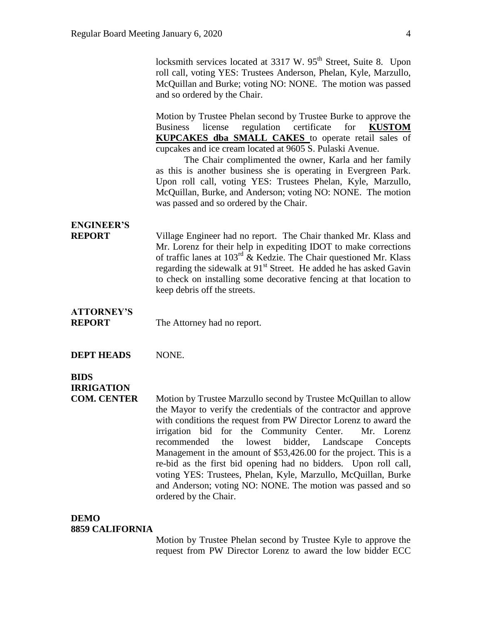|                                    | locksmith services located at 3317 W. 95 <sup>th</sup> Street, Suite 8. Upon<br>roll call, voting YES: Trustees Anderson, Phelan, Kyle, Marzullo,<br>McQuillan and Burke; voting NO: NONE. The motion was passed<br>and so ordered by the Chair.                                                                                                                                                                                                                                                                                                                                  |
|------------------------------------|-----------------------------------------------------------------------------------------------------------------------------------------------------------------------------------------------------------------------------------------------------------------------------------------------------------------------------------------------------------------------------------------------------------------------------------------------------------------------------------------------------------------------------------------------------------------------------------|
|                                    | Motion by Trustee Phelan second by Trustee Burke to approve the<br>regulation certificate<br><b>Business</b><br>license<br>for<br><b>KUSTOM</b><br><b>KUPCAKES dba SMALL CAKES</b> to operate retail sales of<br>cupcakes and ice cream located at 9605 S. Pulaski Avenue.<br>The Chair complimented the owner, Karla and her family<br>as this is another business she is operating in Evergreen Park.<br>Upon roll call, voting YES: Trustees Phelan, Kyle, Marzullo,<br>McQuillan, Burke, and Anderson; voting NO: NONE. The motion<br>was passed and so ordered by the Chair. |
| <b>ENGINEER'S</b><br><b>REPORT</b> | Village Engineer had no report. The Chair thanked Mr. Klass and<br>Mr. Lorenz for their help in expediting IDOT to make corrections<br>of traffic lanes at $103^{rd}$ & Kedzie. The Chair questioned Mr. Klass<br>regarding the sidewalk at 91 <sup>st</sup> Street. He added he has asked Gavin<br>to check on installing some decorative fencing at that location to<br>keep debris off the streets.                                                                                                                                                                            |
| <b>ATTORNEY'S</b><br><b>REPORT</b> | The Attorney had no report.                                                                                                                                                                                                                                                                                                                                                                                                                                                                                                                                                       |
| <b>DEPT HEADS</b>                  | NONE.                                                                                                                                                                                                                                                                                                                                                                                                                                                                                                                                                                             |

### **BIDS IRRIGATION**

**COM. CENTER** Motion by Trustee Marzullo second by Trustee McQuillan to allow the Mayor to verify the credentials of the contractor and approve with conditions the request from PW Director Lorenz to award the irrigation bid for the Community Center. Mr. Lorenz recommended the lowest bidder, Landscape Concepts Management in the amount of \$53,426.00 for the project. This is a re-bid as the first bid opening had no bidders. Upon roll call, voting YES: Trustees, Phelan, Kyle, Marzullo, McQuillan, Burke and Anderson; voting NO: NONE. The motion was passed and so ordered by the Chair.

### **DEMO**

#### **8859 CALIFORNIA**

Motion by Trustee Phelan second by Trustee Kyle to approve the request from PW Director Lorenz to award the low bidder ECC